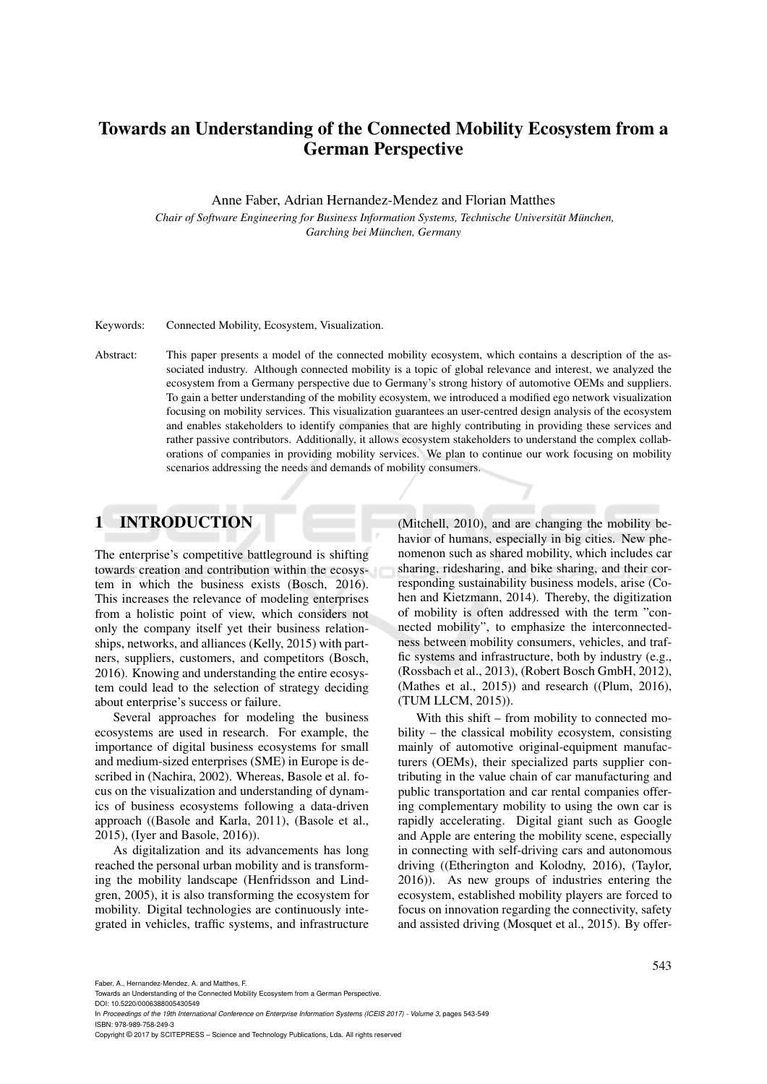# Towards an Understanding of the Connected Mobility Ecosystem from a German Perspective

Anne Faber, Adrian Hernandez-Mendez and Florian Matthes

*Chair of Software Engineering for Business Information Systems, Technische Universitat M¨ unchen, ¨ Garching bei Munchen, Germany ¨*

Keywords: Connected Mobility, Ecosystem, Visualization.

Abstract: This paper presents a model of the connected mobility ecosystem, which contains a description of the associated industry. Although connected mobility is a topic of global relevance and interest, we analyzed the ecosystem from a Germany perspective due to Germany's strong history of automotive OEMs and suppliers. To gain a better understanding of the mobility ecosystem, we introduced a modified ego network visualization focusing on mobility services. This visualization guarantees an user-centred design analysis of the ecosystem and enables stakeholders to identify companies that are highly contributing in providing these services and rather passive contributors. Additionally, it allows ecosystem stakeholders to understand the complex collaborations of companies in providing mobility services. We plan to continue our work focusing on mobility scenarios addressing the needs and demands of mobility consumers.

### 1 INTRODUCTION

The enterprise's competitive battleground is shifting towards creation and contribution within the ecosystem in which the business exists (Bosch, 2016). This increases the relevance of modeling enterprises from a holistic point of view, which considers not only the company itself yet their business relationships, networks, and alliances (Kelly, 2015) with partners, suppliers, customers, and competitors (Bosch, 2016). Knowing and understanding the entire ecosystem could lead to the selection of strategy deciding about enterprise's success or failure.

Several approaches for modeling the business ecosystems are used in research. For example, the importance of digital business ecosystems for small and medium-sized enterprises (SME) in Europe is described in (Nachira, 2002). Whereas, Basole et al. focus on the visualization and understanding of dynamics of business ecosystems following a data-driven approach ((Basole and Karla, 2011), (Basole et al., 2015), (Iyer and Basole, 2016)).

As digitalization and its advancements has long reached the personal urban mobility and is transforming the mobility landscape (Henfridsson and Lindgren, 2005), it is also transforming the ecosystem for mobility. Digital technologies are continuously integrated in vehicles, traffic systems, and infrastructure (Mitchell, 2010), and are changing the mobility behavior of humans, especially in big cities. New phenomenon such as shared mobility, which includes car sharing, ridesharing, and bike sharing, and their corresponding sustainability business models, arise (Cohen and Kietzmann, 2014). Thereby, the digitization of mobility is often addressed with the term "connected mobility", to emphasize the interconnectedness between mobility consumers, vehicles, and traffic systems and infrastructure, both by industry (e.g., (Rossbach et al., 2013), (Robert Bosch GmbH, 2012), (Mathes et al., 2015)) and research ((Plum, 2016), (TUM LLCM, 2015)).

With this shift – from mobility to connected mobility – the classical mobility ecosystem, consisting mainly of automotive original-equipment manufacturers (OEMs), their specialized parts supplier contributing in the value chain of car manufacturing and public transportation and car rental companies offering complementary mobility to using the own car is rapidly accelerating. Digital giant such as Google and Apple are entering the mobility scene, especially in connecting with self-driving cars and autonomous driving ((Etherington and Kolodny, 2016), (Taylor, 2016)). As new groups of industries entering the ecosystem, established mobility players are forced to focus on innovation regarding the connectivity, safety and assisted driving (Mosquet et al., 2015). By offer-

DOI: 10.5220/0006388005430549 In *Proceedings of the 19th International Conference on Enterprise Information Systems (ICEIS 2017) - Volume 3*, pages 543-549 ISBN: 978-989-758-249-3

Copyright © 2017 by SCITEPRESS – Science and Technology Publications, Lda. All rights reserved

Faber, A., Hernandez-Mendez, A. and Matthes, F.

Towards an Understanding of the Connected Mobility Ecosystem from a German Perspective.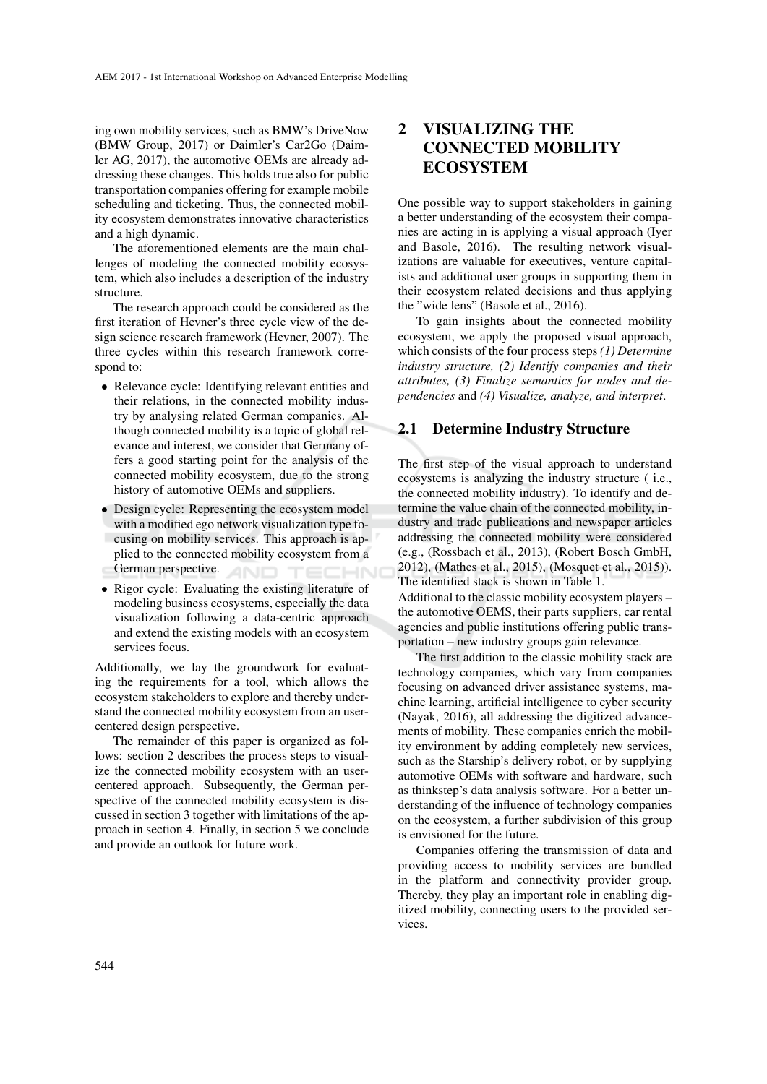ing own mobility services, such as BMW's DriveNow (BMW Group, 2017) or Daimler's Car2Go (Daimler AG, 2017), the automotive OEMs are already addressing these changes. This holds true also for public transportation companies offering for example mobile scheduling and ticketing. Thus, the connected mobility ecosystem demonstrates innovative characteristics and a high dynamic.

The aforementioned elements are the main challenges of modeling the connected mobility ecosystem, which also includes a description of the industry structure.

The research approach could be considered as the first iteration of Hevner's three cycle view of the design science research framework (Hevner, 2007). The three cycles within this research framework correspond to:

- Relevance cycle: Identifying relevant entities and their relations, in the connected mobility industry by analysing related German companies. Although connected mobility is a topic of global relevance and interest, we consider that Germany offers a good starting point for the analysis of the connected mobility ecosystem, due to the strong history of automotive OEMs and suppliers.
- Design cycle: Representing the ecosystem model with a modified ego network visualization type focusing on mobility services. This approach is applied to the connected mobility ecosystem from a German perspective. TECHNO AND
- Rigor cycle: Evaluating the existing literature of modeling business ecosystems, especially the data visualization following a data-centric approach and extend the existing models with an ecosystem services focus.

Additionally, we lay the groundwork for evaluating the requirements for a tool, which allows the ecosystem stakeholders to explore and thereby understand the connected mobility ecosystem from an usercentered design perspective.

The remainder of this paper is organized as follows: section 2 describes the process steps to visualize the connected mobility ecosystem with an usercentered approach. Subsequently, the German perspective of the connected mobility ecosystem is discussed in section 3 together with limitations of the approach in section 4. Finally, in section 5 we conclude and provide an outlook for future work.

## 2 VISUALIZING THE CONNECTED MOBILITY **ECOSYSTEM**

One possible way to support stakeholders in gaining a better understanding of the ecosystem their companies are acting in is applying a visual approach (Iyer and Basole, 2016). The resulting network visualizations are valuable for executives, venture capitalists and additional user groups in supporting them in their ecosystem related decisions and thus applying the "wide lens" (Basole et al., 2016).

To gain insights about the connected mobility ecosystem, we apply the proposed visual approach, which consists of the four process steps *(1) Determine industry structure, (2) Identify companies and their attributes, (3) Finalize semantics for nodes and dependencies* and *(4) Visualize, analyze, and interpret*.

#### 2.1 Determine Industry Structure

The first step of the visual approach to understand ecosystems is analyzing the industry structure ( i.e., the connected mobility industry). To identify and determine the value chain of the connected mobility, industry and trade publications and newspaper articles addressing the connected mobility were considered (e.g., (Rossbach et al., 2013), (Robert Bosch GmbH, 2012), (Mathes et al., 2015), (Mosquet et al., 2015)). The identified stack is shown in Table 1.

Additional to the classic mobility ecosystem players – the automotive OEMS, their parts suppliers, car rental agencies and public institutions offering public transportation – new industry groups gain relevance.

The first addition to the classic mobility stack are technology companies, which vary from companies focusing on advanced driver assistance systems, machine learning, artificial intelligence to cyber security (Nayak, 2016), all addressing the digitized advancements of mobility. These companies enrich the mobility environment by adding completely new services, such as the Starship's delivery robot, or by supplying automotive OEMs with software and hardware, such as thinkstep's data analysis software. For a better understanding of the influence of technology companies on the ecosystem, a further subdivision of this group is envisioned for the future.

Companies offering the transmission of data and providing access to mobility services are bundled in the platform and connectivity provider group. Thereby, they play an important role in enabling digitized mobility, connecting users to the provided services.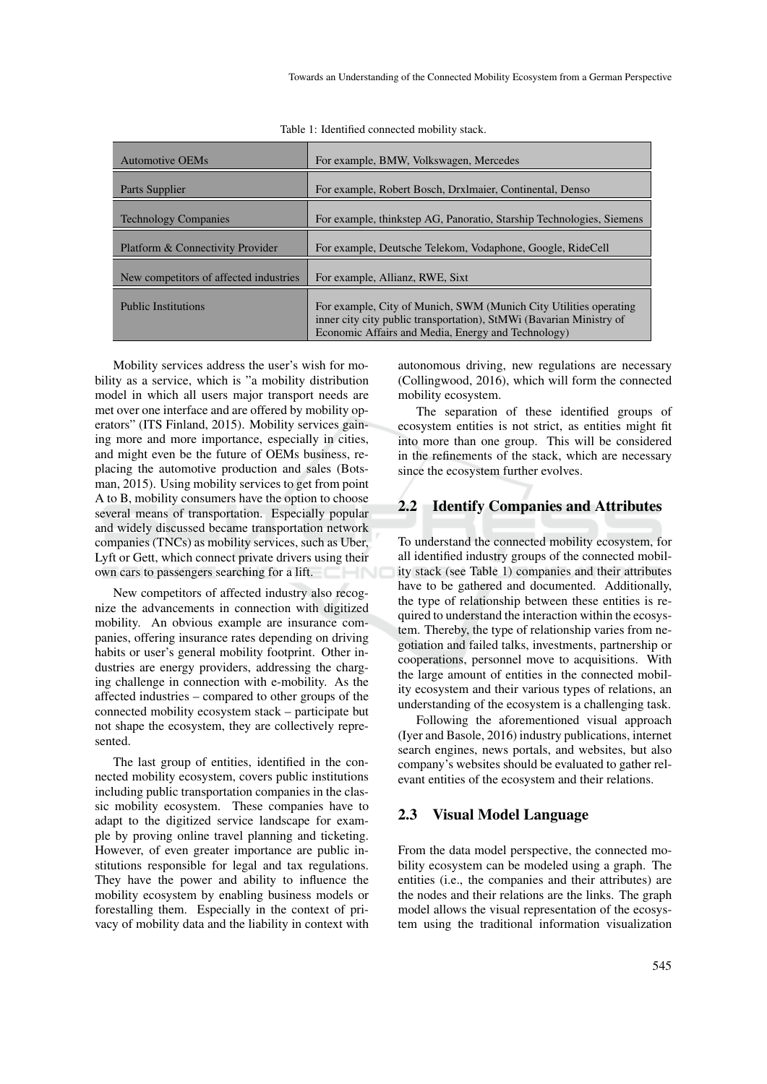Table 1: Identified connected mobility stack.

| <b>Automotive OEMs</b>                 | For example, BMW, Volkswagen, Mercedes                                                                                                                                                         |
|----------------------------------------|------------------------------------------------------------------------------------------------------------------------------------------------------------------------------------------------|
| Parts Supplier                         | For example, Robert Bosch, DrxImaier, Continental, Denso                                                                                                                                       |
| <b>Technology Companies</b>            | For example, thinkstep AG, Panoratio, Starship Technologies, Siemens                                                                                                                           |
| Platform & Connectivity Provider       | For example, Deutsche Telekom, Vodaphone, Google, RideCell                                                                                                                                     |
| New competitors of affected industries | For example, Allianz, RWE, Sixt                                                                                                                                                                |
| <b>Public Institutions</b>             | For example, City of Munich, SWM (Munich City Utilities operating<br>inner city city public transportation), StMWi (Bavarian Ministry of<br>Economic Affairs and Media, Energy and Technology) |

Mobility services address the user's wish for mobility as a service, which is "a mobility distribution model in which all users major transport needs are met over one interface and are offered by mobility operators" (ITS Finland, 2015). Mobility services gaining more and more importance, especially in cities, and might even be the future of OEMs business, replacing the automotive production and sales (Botsman, 2015). Using mobility services to get from point A to B, mobility consumers have the option to choose several means of transportation. Especially popular and widely discussed became transportation network companies (TNCs) as mobility services, such as Uber, Lyft or Gett, which connect private drivers using their own cars to passengers searching for a lift.

New competitors of affected industry also recognize the advancements in connection with digitized mobility. An obvious example are insurance companies, offering insurance rates depending on driving habits or user's general mobility footprint. Other industries are energy providers, addressing the charging challenge in connection with e-mobility. As the affected industries – compared to other groups of the connected mobility ecosystem stack – participate but not shape the ecosystem, they are collectively represented.

The last group of entities, identified in the connected mobility ecosystem, covers public institutions including public transportation companies in the classic mobility ecosystem. These companies have to adapt to the digitized service landscape for example by proving online travel planning and ticketing. However, of even greater importance are public institutions responsible for legal and tax regulations. They have the power and ability to influence the mobility ecosystem by enabling business models or forestalling them. Especially in the context of privacy of mobility data and the liability in context with

autonomous driving, new regulations are necessary (Collingwood, 2016), which will form the connected mobility ecosystem.

The separation of these identified groups of ecosystem entities is not strict, as entities might fit into more than one group. This will be considered in the refinements of the stack, which are necessary since the ecosystem further evolves.

#### 2.2 Identify Companies and Attributes

To understand the connected mobility ecosystem, for all identified industry groups of the connected mobility stack (see Table 1) companies and their attributes have to be gathered and documented. Additionally, the type of relationship between these entities is required to understand the interaction within the ecosystem. Thereby, the type of relationship varies from negotiation and failed talks, investments, partnership or cooperations, personnel move to acquisitions. With the large amount of entities in the connected mobility ecosystem and their various types of relations, an understanding of the ecosystem is a challenging task.

Following the aforementioned visual approach (Iyer and Basole, 2016) industry publications, internet search engines, news portals, and websites, but also company's websites should be evaluated to gather relevant entities of the ecosystem and their relations.

#### 2.3 Visual Model Language

From the data model perspective, the connected mobility ecosystem can be modeled using a graph. The entities (i.e., the companies and their attributes) are the nodes and their relations are the links. The graph model allows the visual representation of the ecosystem using the traditional information visualization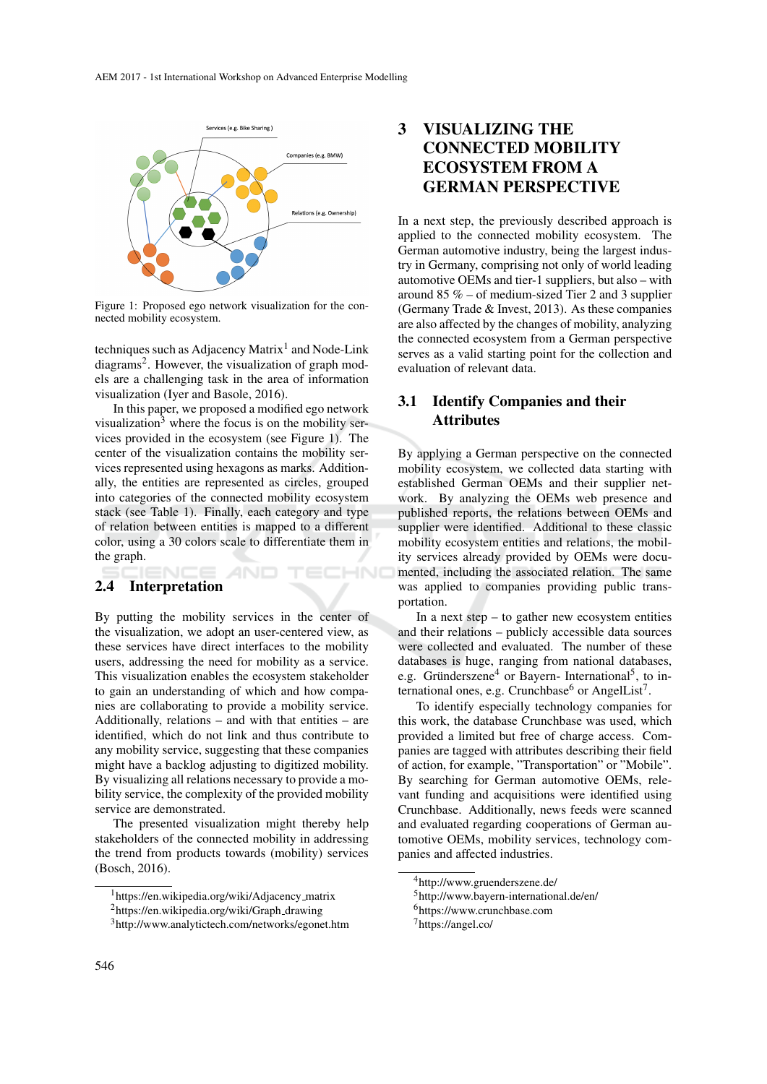

Figure 1: Proposed ego network visualization for the connected mobility ecosystem.

techniques such as Adjacency Matrix<sup>1</sup> and Node-Link diagrams<sup>2</sup>. However, the visualization of graph models are a challenging task in the area of information visualization (Iyer and Basole, 2016).

In this paper, we proposed a modified ego network visualization $3$  where the focus is on the mobility services provided in the ecosystem (see Figure 1). The center of the visualization contains the mobility services represented using hexagons as marks. Additionally, the entities are represented as circles, grouped into categories of the connected mobility ecosystem stack (see Table 1). Finally, each category and type of relation between entities is mapped to a different color, using a 30 colors scale to differentiate them in the graph.

**AND** 

**ECHNO** 

#### 2.4 Interpretation

By putting the mobility services in the center of the visualization, we adopt an user-centered view, as these services have direct interfaces to the mobility users, addressing the need for mobility as a service. This visualization enables the ecosystem stakeholder to gain an understanding of which and how companies are collaborating to provide a mobility service. Additionally, relations – and with that entities – are identified, which do not link and thus contribute to any mobility service, suggesting that these companies might have a backlog adjusting to digitized mobility. By visualizing all relations necessary to provide a mobility service, the complexity of the provided mobility service are demonstrated.

The presented visualization might thereby help stakeholders of the connected mobility in addressing the trend from products towards (mobility) services (Bosch, 2016).

## 3 VISUALIZING THE CONNECTED MOBILITY ECOSYSTEM FROM A GERMAN PERSPECTIVE

In a next step, the previously described approach is applied to the connected mobility ecosystem. The German automotive industry, being the largest industry in Germany, comprising not only of world leading automotive OEMs and tier-1 suppliers, but also – with around 85 % – of medium-sized Tier 2 and 3 supplier (Germany Trade & Invest, 2013). As these companies are also affected by the changes of mobility, analyzing the connected ecosystem from a German perspective serves as a valid starting point for the collection and evaluation of relevant data.

### 3.1 Identify Companies and their Attributes

By applying a German perspective on the connected mobility ecosystem, we collected data starting with established German OEMs and their supplier network. By analyzing the OEMs web presence and published reports, the relations between OEMs and supplier were identified. Additional to these classic mobility ecosystem entities and relations, the mobility services already provided by OEMs were documented, including the associated relation. The same was applied to companies providing public transportation.

In a next step  $-$  to gather new ecosystem entities and their relations – publicly accessible data sources were collected and evaluated. The number of these databases is huge, ranging from national databases, e.g. Gründerszene<sup>4</sup> or Bayern- International<sup>5</sup>, to international ones, e.g. Crunchbase $^6$  or AngelList<sup>7</sup>.

To identify especially technology companies for this work, the database Crunchbase was used, which provided a limited but free of charge access. Companies are tagged with attributes describing their field of action, for example, "Transportation" or "Mobile". By searching for German automotive OEMs, relevant funding and acquisitions were identified using Crunchbase. Additionally, news feeds were scanned and evaluated regarding cooperations of German automotive OEMs, mobility services, technology companies and affected industries.

<sup>&</sup>lt;sup>1</sup>https://en.wikipedia.org/wiki/Adjacency\_matrix

<sup>&</sup>lt;sup>2</sup>https://en.wikipedia.org/wiki/Graph\_drawing

<sup>3</sup>http://www.analytictech.com/networks/egonet.htm

<sup>4</sup>http://www.gruenderszene.de/

<sup>5</sup>http://www.bayern-international.de/en/

<sup>6</sup>https://www.crunchbase.com

<sup>7</sup>https://angel.co/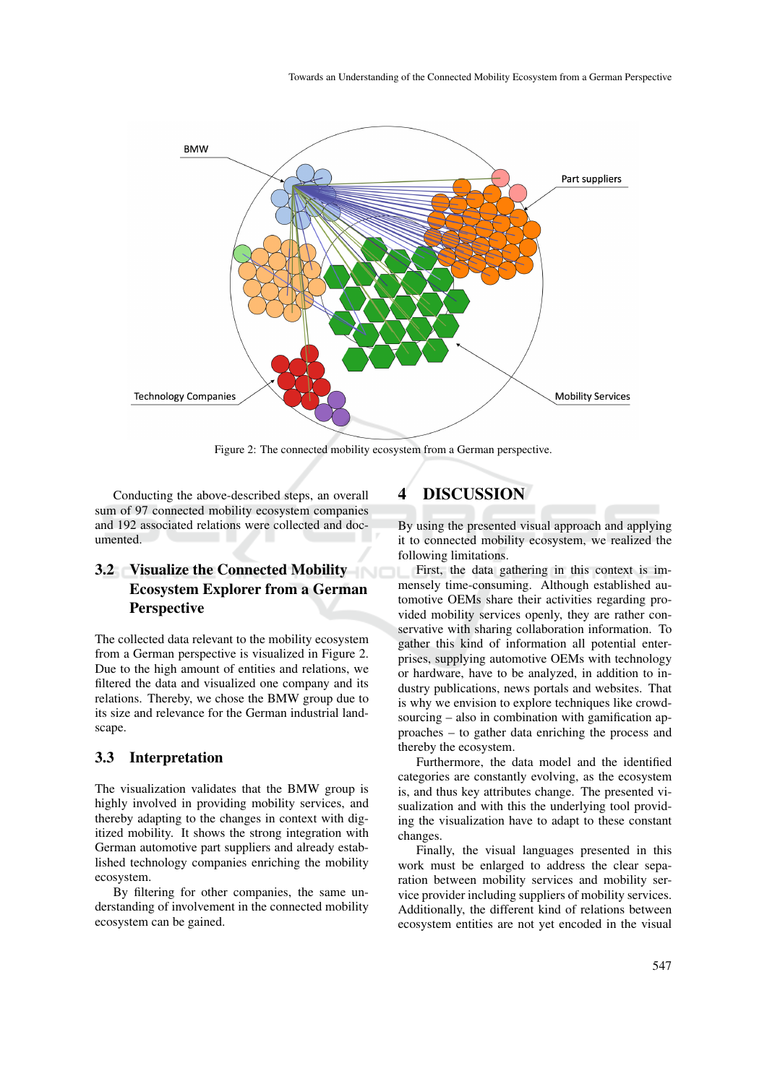

Figure 2: The connected mobility ecosystem from a German perspective.

Conducting the above-described steps, an overall sum of 97 connected mobility ecosystem companies and 192 associated relations were collected and documented.

## 3.2 Visualize the Connected Mobility Ecosystem Explorer from a German **Perspective**

The collected data relevant to the mobility ecosystem from a German perspective is visualized in Figure 2. Due to the high amount of entities and relations, we filtered the data and visualized one company and its relations. Thereby, we chose the BMW group due to its size and relevance for the German industrial landscape.

#### 3.3 Interpretation

The visualization validates that the BMW group is highly involved in providing mobility services, and thereby adapting to the changes in context with digitized mobility. It shows the strong integration with German automotive part suppliers and already established technology companies enriching the mobility ecosystem.

By filtering for other companies, the same understanding of involvement in the connected mobility ecosystem can be gained.

## 4 DISCUSSION

By using the presented visual approach and applying it to connected mobility ecosystem, we realized the following limitations.

First, the data gathering in this context is immensely time-consuming. Although established automotive OEMs share their activities regarding provided mobility services openly, they are rather conservative with sharing collaboration information. To gather this kind of information all potential enterprises, supplying automotive OEMs with technology or hardware, have to be analyzed, in addition to industry publications, news portals and websites. That is why we envision to explore techniques like crowdsourcing – also in combination with gamification approaches – to gather data enriching the process and thereby the ecosystem.

Furthermore, the data model and the identified categories are constantly evolving, as the ecosystem is, and thus key attributes change. The presented visualization and with this the underlying tool providing the visualization have to adapt to these constant changes.

Finally, the visual languages presented in this work must be enlarged to address the clear separation between mobility services and mobility service provider including suppliers of mobility services. Additionally, the different kind of relations between ecosystem entities are not yet encoded in the visual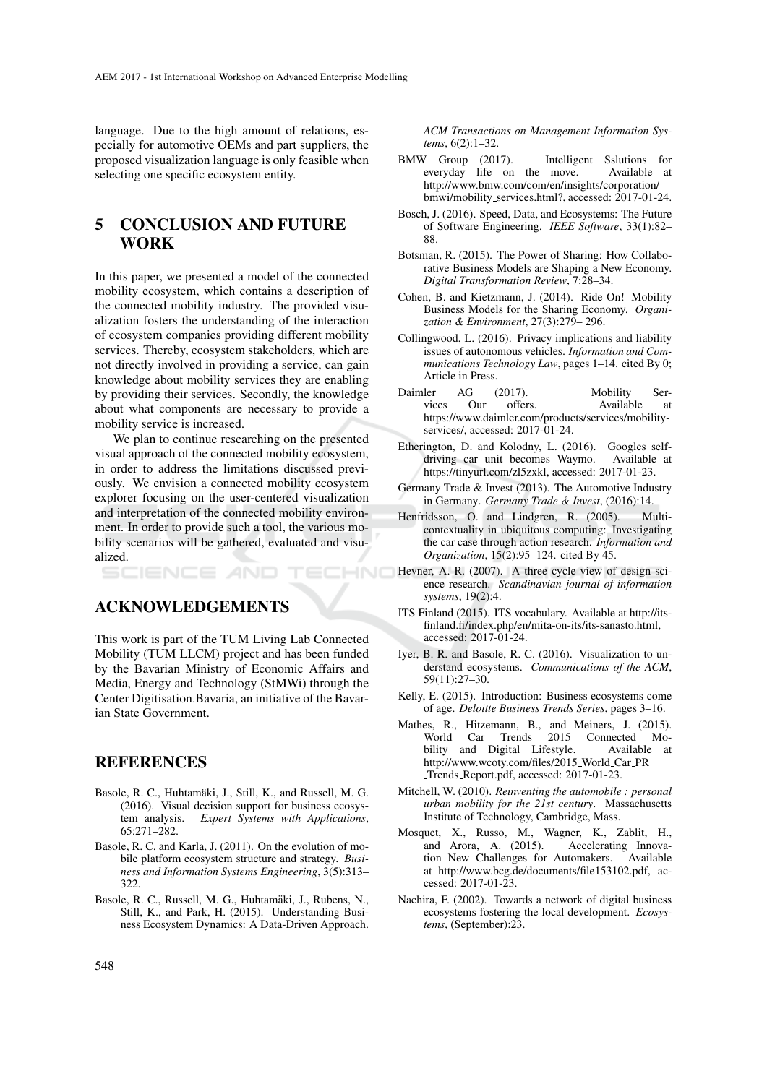language. Due to the high amount of relations, especially for automotive OEMs and part suppliers, the proposed visualization language is only feasible when selecting one specific ecosystem entity.

### 5 CONCLUSION AND FUTURE **WORK**

In this paper, we presented a model of the connected mobility ecosystem, which contains a description of the connected mobility industry. The provided visualization fosters the understanding of the interaction of ecosystem companies providing different mobility services. Thereby, ecosystem stakeholders, which are not directly involved in providing a service, can gain knowledge about mobility services they are enabling by providing their services. Secondly, the knowledge about what components are necessary to provide a mobility service is increased.

We plan to continue researching on the presented visual approach of the connected mobility ecosystem, in order to address the limitations discussed previously. We envision a connected mobility ecosystem explorer focusing on the user-centered visualization and interpretation of the connected mobility environment. In order to provide such a tool, the various mobility scenarios will be gathered, evaluated and visualized.

HNC

ACKNOWLEDGEMENTS

SCIENCE *A*ND

This work is part of the TUM Living Lab Connected Mobility (TUM LLCM) project and has been funded by the Bavarian Ministry of Economic Affairs and Media, Energy and Technology (StMWi) through the Center Digitisation.Bavaria, an initiative of the Bavarian State Government.

### REFERENCES

- Basole, R. C., Huhtamäki, J., Still, K., and Russell, M. G. (2016). Visual decision support for business ecosystem analysis. *Expert Systems with Applications*, 65:271–282.
- Basole, R. C. and Karla, J. (2011). On the evolution of mobile platform ecosystem structure and strategy. *Business and Information Systems Engineering*, 3(5):313– 322.
- Basole, R. C., Russell, M. G., Huhtamäki, J., Rubens, N., Still, K., and Park, H. (2015). Understanding Business Ecosystem Dynamics: A Data-Driven Approach.

*ACM Transactions on Management Information Systems*, 6(2):1–32.

- BMW Group (2017). Intelligent Sslutions for everyday life on the move. Available at http://www.bmw.com/com/en/insights/corporation/ bmwi/mobility services.html?, accessed: 2017-01-24.
- Bosch, J. (2016). Speed, Data, and Ecosystems: The Future of Software Engineering. *IEEE Software*, 33(1):82– 88.
- Botsman, R. (2015). The Power of Sharing: How Collaborative Business Models are Shaping a New Economy. *Digital Transformation Review*, 7:28–34.
- Cohen, B. and Kietzmann, J. (2014). Ride On! Mobility Business Models for the Sharing Economy. *Organization & Environment*, 27(3):279– 296.
- Collingwood, L. (2016). Privacy implications and liability issues of autonomous vehicles. *Information and Communications Technology Law*, pages 1–14. cited By 0; Article in Press.
- Daimler AG (2017). Mobility Services Our offers. Available at vices Our offers. Available at https://www.daimler.com/products/services/mobilityservices/, accessed: 2017-01-24.
- Etherington, D. and Kolodny, L. (2016). Googles selfdriving car unit becomes Waymo. Available at https://tinyurl.com/zl5zxkl, accessed: 2017-01-23.
- Germany Trade & Invest (2013). The Automotive Industry in Germany. *Germany Trade & Invest*, (2016):14.
- Henfridsson, O. and Lindgren, R. (2005). Multicontextuality in ubiquitous computing: Investigating the car case through action research. *Information and Organization*, 15(2):95–124. cited By 45.
- Hevner, A. R. (2007). A three cycle view of design science research. *Scandinavian journal of information systems*, 19(2):4.
- ITS Finland (2015). ITS vocabulary. Available at http://itsfinland.fi/index.php/en/mita-on-its/its-sanasto.html, accessed: 2017-01-24.
- Iyer, B. R. and Basole, R. C. (2016). Visualization to understand ecosystems. *Communications of the ACM*, 59(11):27–30.
- Kelly, E. (2015). Introduction: Business ecosystems come of age. *Deloitte Business Trends Series*, pages 3–16.
- Mathes, R., Hitzemann, B., and Meiners, J. (2015). World Car Trends 2015 Connected Mobility and Digital Lifestyle. Available at http://www.wcoty.com/files/2015 World Car PR Trends Report.pdf, accessed: 2017-01-23.
- Mitchell, W. (2010). *Reinventing the automobile : personal urban mobility for the 21st century*. Massachusetts Institute of Technology, Cambridge, Mass.
- Mosquet, X., Russo, M., Wagner, K., Zablit, H., and Arora, A. (2015). Accelerating Innovation New Challenges for Automakers. Available at http://www.bcg.de/documents/file153102.pdf, accessed: 2017-01-23.
- Nachira, F. (2002). Towards a network of digital business ecosystems fostering the local development. *Ecosystems*, (September):23.